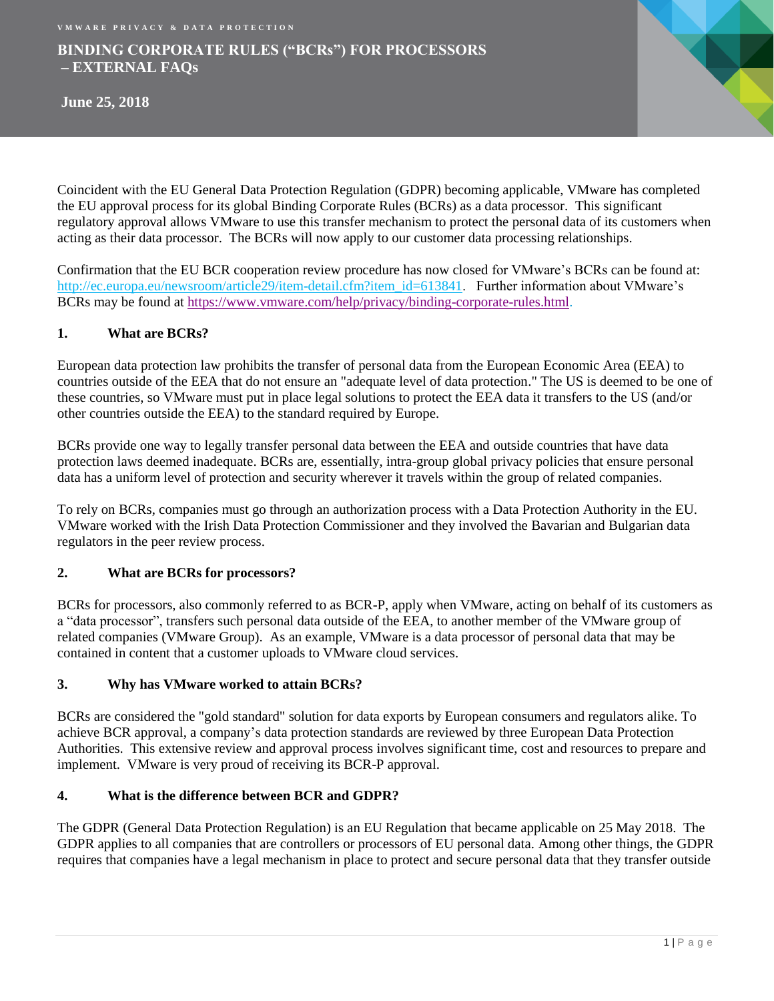# **BINDING CORPORATE RULES ("BCRs") FOR PROCESSORS – EXTERNAL FAQs**



Coincident with the EU General Data Protection Regulation (GDPR) becoming applicable, VMware has completed the EU approval process for its global Binding Corporate Rules (BCRs) as a data processor. This significant regulatory approval allows VMware to use this transfer mechanism to protect the personal data of its customers when acting as their data processor. The BCRs will now apply to our customer data processing relationships.

Confirmation that the EU BCR cooperation review procedure has now closed for VMware's BCRs can be found at: [http://ec.europa.eu/newsroom/article29/item-detail.cfm?item\\_id=613841.](http://ec.europa.eu/newsroom/article29/item-detail.cfm?item_id=613841) Further information about VMware's BCRs may be found at [https://www.vmware.com/help/privacy/binding-corporate-rules.html.](https://www.vmware.com/help/privacy/binding-corporate-rules.html)

# **1. What are BCRs?**

European data protection law prohibits the transfer of personal data from the European Economic Area (EEA) to countries outside of the EEA that do not ensure an "adequate level of data protection." The US is deemed to be one of these countries, so VMware must put in place legal solutions to protect the EEA data it transfers to the US (and/or other countries outside the EEA) to the standard required by Europe.

BCRs provide one way to legally transfer personal data between the EEA and outside countries that have data protection laws deemed inadequate. BCRs are, essentially, intra-group global privacy policies that ensure personal data has a uniform level of protection and security wherever it travels within the group of related companies.

To rely on BCRs, companies must go through an authorization process with a Data Protection Authority in the EU. VMware worked with the Irish Data Protection Commissioner and they involved the Bavarian and Bulgarian data regulators in the peer review process.

### **2. What are BCRs for processors?**

BCRs for processors, also commonly referred to as BCR-P, apply when VMware, acting on behalf of its customers as a "data processor", transfers such personal data outside of the EEA, to another member of the VMware group of related companies (VMware Group). As an example, VMware is a data processor of personal data that may be contained in content that a customer uploads to VMware cloud services.

### **3. Why has VMware worked to attain BCRs?**

BCRs are considered the "gold standard" solution for data exports by European consumers and regulators alike. To achieve BCR approval, a company's data protection standards are reviewed by three European Data Protection Authorities. This extensive review and approval process involves significant time, cost and resources to prepare and implement. VMware is very proud of receiving its BCR-P approval.

### **4. What is the difference between BCR and GDPR?**

The GDPR (General Data Protection Regulation) is an EU Regulation that became applicable on 25 May 2018. The GDPR applies to all companies that are controllers or processors of EU personal data. Among other things, the GDPR requires that companies have a legal mechanism in place to protect and secure personal data that they transfer outside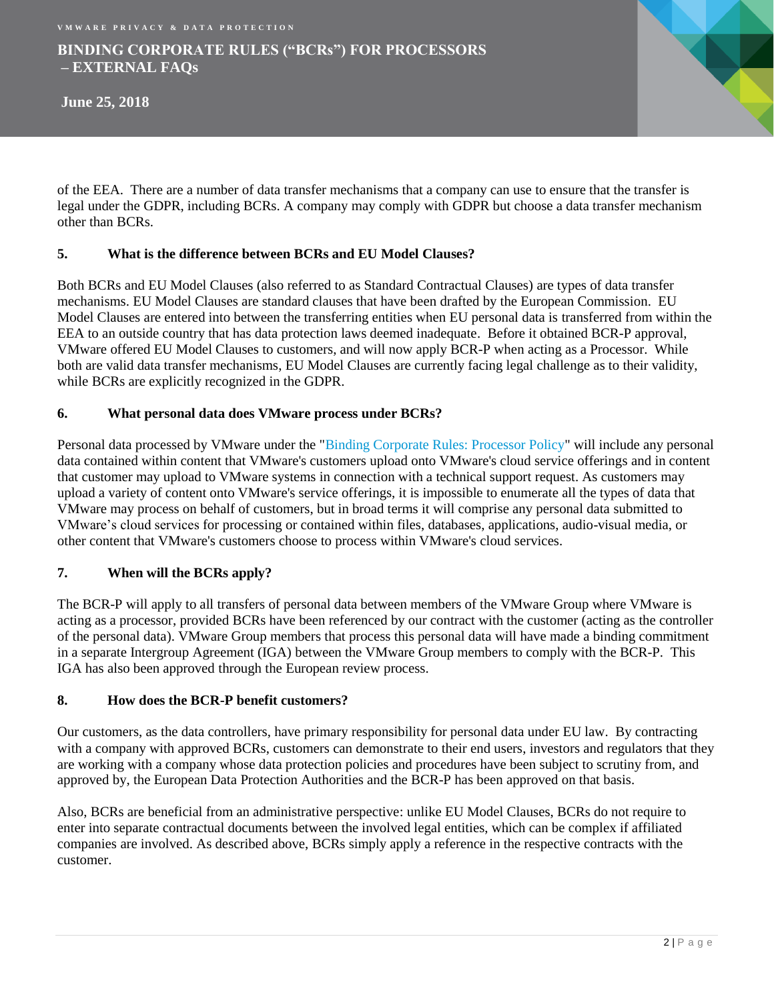# **BINDING CORPORATE RULES ("BCRs") FOR PROCESSORS – EXTERNAL FAQs**

**June 25, 2018**

of the EEA. There are a number of data transfer mechanisms that a company can use to ensure that the transfer is legal under the GDPR, including BCRs. A company may comply with GDPR but choose a data transfer mechanism other than BCRs.

## **5. What is the difference between BCRs and EU Model Clauses?**

Both BCRs and EU Model Clauses (also referred to as Standard Contractual Clauses) are types of data transfer mechanisms. EU Model Clauses are standard clauses that have been drafted by the European Commission. EU Model Clauses are entered into between the transferring entities when EU personal data is transferred from within the EEA to an outside country that has data protection laws deemed inadequate. Before it obtained BCR-P approval, VMware offered EU Model Clauses to customers, and will now apply BCR-P when acting as a Processor. While both are valid data transfer mechanisms, EU Model Clauses are currently facing legal challenge as to their validity, while BCRs are explicitly recognized in the GDPR.

## **6. What personal data does VMware process under BCRs?**

Personal data processed by VMware under the ["Binding Corporate Rules: Processor Policy"](https://www.vmware.com/content/dam/digitalmarketing/vmware/en/pdf/company/vmw-binding-corporate-rules.pdf) will include any personal data contained within content that VMware's customers upload onto VMware's cloud service offerings and in content that customer may upload to VMware systems in connection with a technical support request. As customers may upload a variety of content onto VMware's service offerings, it is impossible to enumerate all the types of data that VMware may process on behalf of customers, but in broad terms it will comprise any personal data submitted to VMware's cloud services for processing or contained within files, databases, applications, audio-visual media, or other content that VMware's customers choose to process within VMware's cloud services.

### **7. When will the BCRs apply?**

The BCR-P will apply to all transfers of personal data between members of the VMware Group where VMware is acting as a processor, provided BCRs have been referenced by our contract with the customer (acting as the controller of the personal data). VMware Group members that process this personal data will have made a binding commitment in a separate Intergroup Agreement (IGA) between the VMware Group members to comply with the BCR-P. This IGA has also been approved through the European review process.

### **8. How does the BCR-P benefit customers?**

Our customers, as the data controllers, have primary responsibility for personal data under EU law. By contracting with a company with approved BCRs, customers can demonstrate to their end users, investors and regulators that they are working with a company whose data protection policies and procedures have been subject to scrutiny from, and approved by, the European Data Protection Authorities and the BCR-P has been approved on that basis.

Also, BCRs are beneficial from an administrative perspective: unlike EU Model Clauses, BCRs do not require to enter into separate contractual documents between the involved legal entities, which can be complex if affiliated companies are involved. As described above, BCRs simply apply a reference in the respective contracts with the customer.